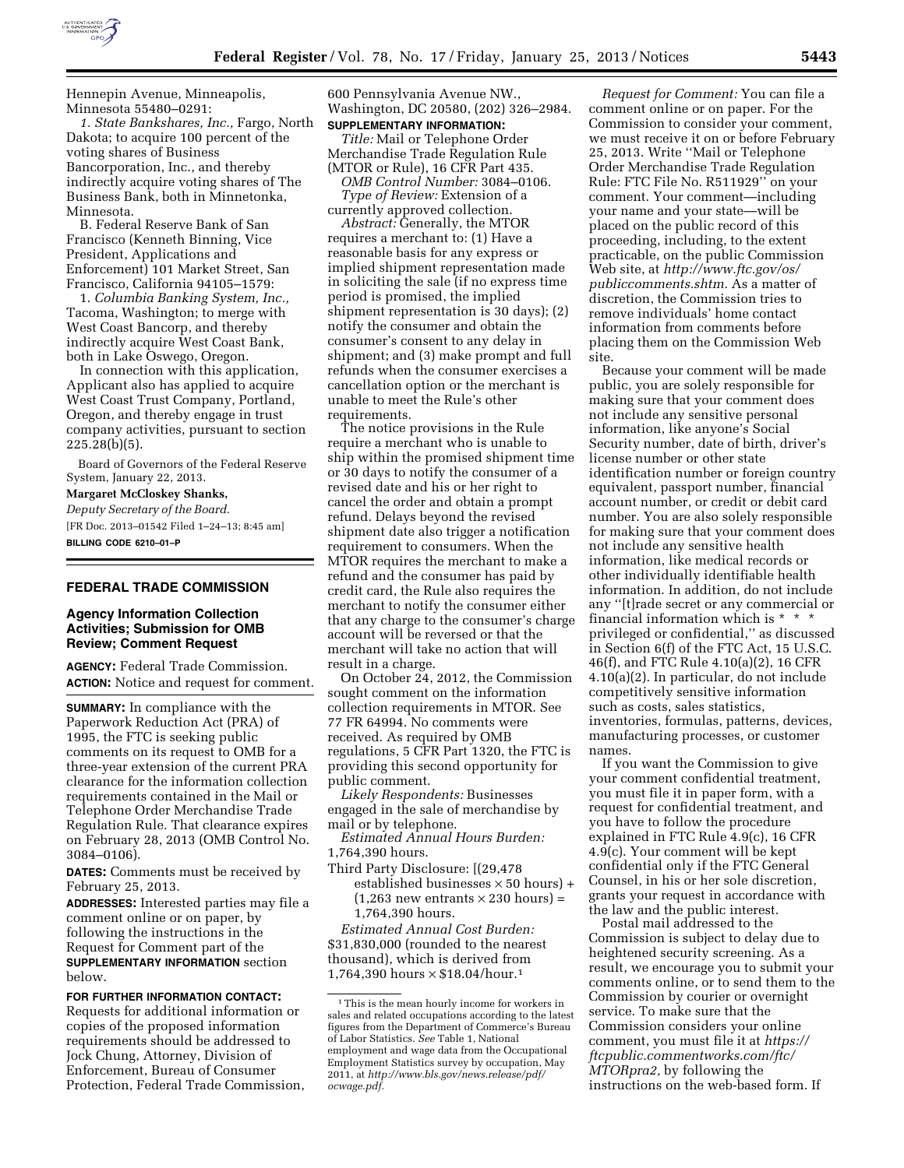

Hennepin Avenue, Minneapolis, Minnesota 55480–0291:

*1. State Bankshares, Inc.,* Fargo, North Dakota; to acquire 100 percent of the voting shares of Business Bancorporation, Inc., and thereby indirectly acquire voting shares of The Business Bank, both in Minnetonka, Minnesota.

B. Federal Reserve Bank of San Francisco (Kenneth Binning, Vice President, Applications and Enforcement) 101 Market Street, San Francisco, California 94105–1579:

1. *Columbia Banking System, Inc.,*  Tacoma, Washington; to merge with West Coast Bancorp, and thereby indirectly acquire West Coast Bank, both in Lake Oswego, Oregon.

In connection with this application, Applicant also has applied to acquire West Coast Trust Company, Portland, Oregon, and thereby engage in trust company activities, pursuant to section 225.28(b)(5).

Board of Governors of the Federal Reserve System, January 22, 2013.

**Margaret McCloskey Shanks,**  *Deputy Secretary of the Board.*  [FR Doc. 2013–01542 Filed 1–24–13; 8:45 am] **BILLING CODE 6210–01–P** 

#### **FEDERAL TRADE COMMISSION**

# **Agency Information Collection Activities; Submission for OMB Review; Comment Request**

**AGENCY:** Federal Trade Commission. **ACTION:** Notice and request for comment.

**SUMMARY:** In compliance with the Paperwork Reduction Act (PRA) of 1995, the FTC is seeking public comments on its request to OMB for a three-year extension of the current PRA clearance for the information collection requirements contained in the Mail or Telephone Order Merchandise Trade Regulation Rule. That clearance expires on February 28, 2013 (OMB Control No. 3084–0106).

**DATES:** Comments must be received by February 25, 2013.

**ADDRESSES:** Interested parties may file a comment online or on paper, by following the instructions in the Request for Comment part of the **SUPPLEMENTARY INFORMATION** section below.

**FOR FURTHER INFORMATION CONTACT:**  Requests for additional information or copies of the proposed information requirements should be addressed to Jock Chung, Attorney, Division of Enforcement, Bureau of Consumer Protection, Federal Trade Commission, 600 Pennsylvania Avenue NW., Washington, DC 20580, (202) 326–2984. **SUPPLEMENTARY INFORMATION:** 

*Title:* Mail or Telephone Order Merchandise Trade Regulation Rule (MTOR or Rule), 16 CFR Part 435.

*OMB Control Number:* 3084–0106. *Type of Review:* Extension of a currently approved collection.

*Abstract:* Generally, the MTOR requires a merchant to: (1) Have a reasonable basis for any express or implied shipment representation made in soliciting the sale (if no express time period is promised, the implied shipment representation is 30 days); (2) notify the consumer and obtain the consumer's consent to any delay in shipment; and (3) make prompt and full refunds when the consumer exercises a cancellation option or the merchant is unable to meet the Rule's other requirements.

The notice provisions in the Rule require a merchant who is unable to ship within the promised shipment time or 30 days to notify the consumer of a revised date and his or her right to cancel the order and obtain a prompt refund. Delays beyond the revised shipment date also trigger a notification requirement to consumers. When the MTOR requires the merchant to make a refund and the consumer has paid by credit card, the Rule also requires the merchant to notify the consumer either that any charge to the consumer's charge account will be reversed or that the merchant will take no action that will result in a charge.

On October 24, 2012, the Commission sought comment on the information collection requirements in MTOR. See 77 FR 64994. No comments were received. As required by OMB regulations, 5 CFR Part 1320, the FTC is providing this second opportunity for public comment.

*Likely Respondents:* Businesses engaged in the sale of merchandise by mail or by telephone.

*Estimated Annual Hours Burden:*  1,764,390 hours.

Third Party Disclosure: [(29,478 established businesses  $\times$  50 hours) +  $(1,263$  new entrants  $\times$  230 hours) = 1,764,390 hours.

*Estimated Annual Cost Burden:*  \$31,830,000 (rounded to the nearest thousand), which is derived from 1,764,390 hours × \$18.04/hour.1

*Request for Comment:* You can file a comment online or on paper. For the Commission to consider your comment, we must receive it on or before February 25, 2013. Write ''Mail or Telephone Order Merchandise Trade Regulation Rule: FTC File No. R511929'' on your comment. Your comment—including your name and your state—will be placed on the public record of this proceeding, including, to the extent practicable, on the public Commission Web site, at *[http://www.ftc.gov/os/](http://www.ftc.gov/os/publiccomments.shtm) [publiccomments.shtm.](http://www.ftc.gov/os/publiccomments.shtm)* As a matter of discretion, the Commission tries to remove individuals' home contact information from comments before placing them on the Commission Web site.

Because your comment will be made public, you are solely responsible for making sure that your comment does not include any sensitive personal information, like anyone's Social Security number, date of birth, driver's license number or other state identification number or foreign country equivalent, passport number, financial account number, or credit or debit card number. You are also solely responsible for making sure that your comment does not include any sensitive health information, like medical records or other individually identifiable health information. In addition, do not include any ''[t]rade secret or any commercial or financial information which is \* \* \* privileged or confidential,'' as discussed in Section 6(f) of the FTC Act, 15 U.S.C. 46(f), and FTC Rule 4.10(a)(2), 16 CFR 4.10(a)(2). In particular, do not include competitively sensitive information such as costs, sales statistics, inventories, formulas, patterns, devices, manufacturing processes, or customer names.

If you want the Commission to give your comment confidential treatment, you must file it in paper form, with a request for confidential treatment, and you have to follow the procedure explained in FTC Rule 4.9(c), 16 CFR 4.9(c). Your comment will be kept confidential only if the FTC General Counsel, in his or her sole discretion, grants your request in accordance with the law and the public interest.

Postal mail addressed to the Commission is subject to delay due to heightened security screening. As a result, we encourage you to submit your comments online, or to send them to the Commission by courier or overnight service. To make sure that the Commission considers your online comment, you must file it at *[https://](https://ftcpublic.commentworks.com/ftc/MTORpra2) [ftcpublic.commentworks.com/ftc/](https://ftcpublic.commentworks.com/ftc/MTORpra2)  [MTORpra2,](https://ftcpublic.commentworks.com/ftc/MTORpra2)* by following the instructions on the web-based form. If

<sup>1</sup>This is the mean hourly income for workers in sales and related occupations according to the latest figures from the Department of Commerce's Bureau of Labor Statistics. *See* Table 1, National employment and wage data from the Occupational Employment Statistics survey by occupation, May 2011, at *[http://www.bls.gov/news.release/pdf/](http://www.bls.gov/news.release/pdf/ocwage.pdf) [ocwage.pdf.](http://www.bls.gov/news.release/pdf/ocwage.pdf)*